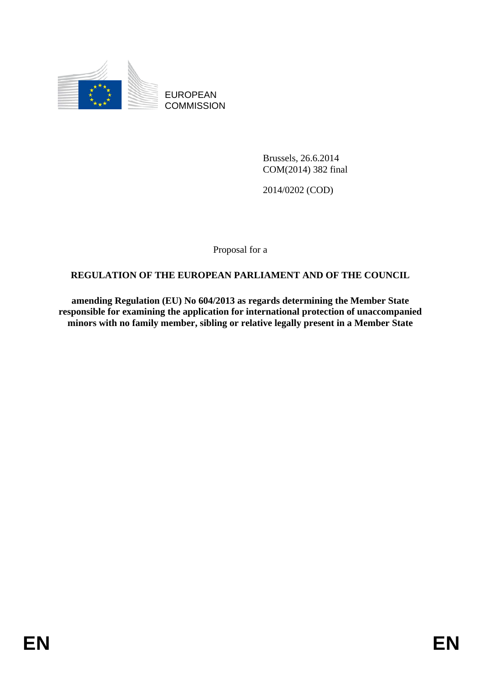

EUROPEAN **COMMISSION** 

> Brussels, 26.6.2014 COM(2014) 382 final

2014/0202 (COD)

Proposal for a

### **REGULATION OF THE EUROPEAN PARLIAMENT AND OF THE COUNCIL**

**amending Regulation (EU) No 604/2013 as regards determining the Member State responsible for examining the application for international protection of unaccompanied minors with no family member, sibling or relative legally present in a Member State**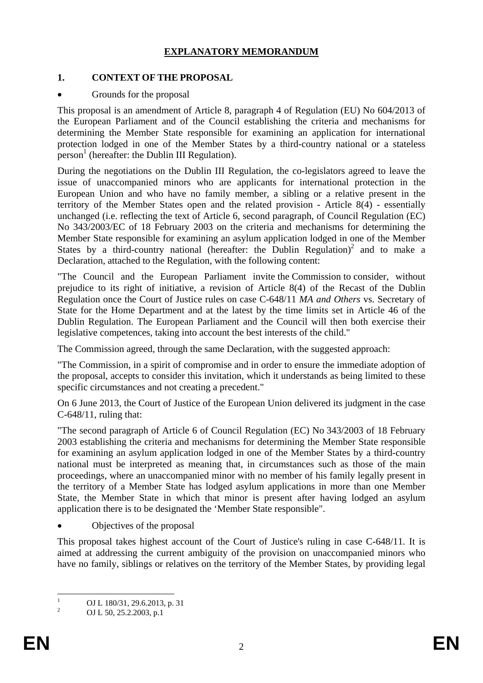#### **EXPLANATORY MEMORANDUM**

#### **1. CONTEXT OF THE PROPOSAL**

#### • Grounds for the proposal

This proposal is an amendment of Article 8, paragraph 4 of Regulation (EU) No 604/2013 of the European Parliament and of the Council establishing the criteria and mechanisms for determining the Member State responsible for examining an application for international protection lodged in one of the Member States by a third-country national or a stateless person<sup>1</sup> (hereafter: the Dublin III Regulation).

During the negotiations on the Dublin III Regulation, the co-legislators agreed to leave the issue of unaccompanied minors who are applicants for international protection in the European Union and who have no family member, a sibling or a relative present in the territory of the Member States open and the related provision - Article 8(4) - essentially unchanged (i.e. reflecting the text of Article 6, second paragraph, of Council Regulation (EC) No 343/2003/EC of 18 February 2003 on the criteria and mechanisms for determining the Member State responsible for examining an asylum application lodged in one of the Member States by a third-country national (hereafter: the Dublin Regulation)<sup>2</sup> and to make a Declaration, attached to the Regulation, with the following content:

"The Council and the European Parliament invite the Commission to consider, without prejudice to its right of initiative, a revision of Article 8(4) of the Recast of the Dublin Regulation once the Court of Justice rules on case C-648/11 *MA and Others* vs. Secretary of State for the Home Department and at the latest by the time limits set in Article 46 of the Dublin Regulation. The European Parliament and the Council will then both exercise their legislative competences, taking into account the best interests of the child."

The Commission agreed, through the same Declaration, with the suggested approach:

"The Commission, in a spirit of compromise and in order to ensure the immediate adoption of the proposal, accepts to consider this invitation, which it understands as being limited to these specific circumstances and not creating a precedent."

On 6 June 2013, the Court of Justice of the European Union delivered its judgment in the case C-648/11, ruling that:

"The second paragraph of Article 6 of Council Regulation (EC) No 343/2003 of 18 February 2003 establishing the criteria and mechanisms for determining the Member State responsible for examining an asylum application lodged in one of the Member States by a third-country national must be interpreted as meaning that, in circumstances such as those of the main proceedings, where an unaccompanied minor with no member of his family legally present in the territory of a Member State has lodged asylum applications in more than one Member State, the Member State in which that minor is present after having lodged an asylum application there is to be designated the 'Member State responsible".

• Objectives of the proposal

This proposal takes highest account of the Court of Justice's ruling in case C-648/11. It is aimed at addressing the current ambiguity of the provision on unaccompanied minors who have no family, siblings or relatives on the territory of the Member States, by providing legal

 $\frac{1}{1}$ OJ L 180/31, 29.6.2013, p. 31

<sup>2</sup> OJ L 50, 25.2.2003, p.1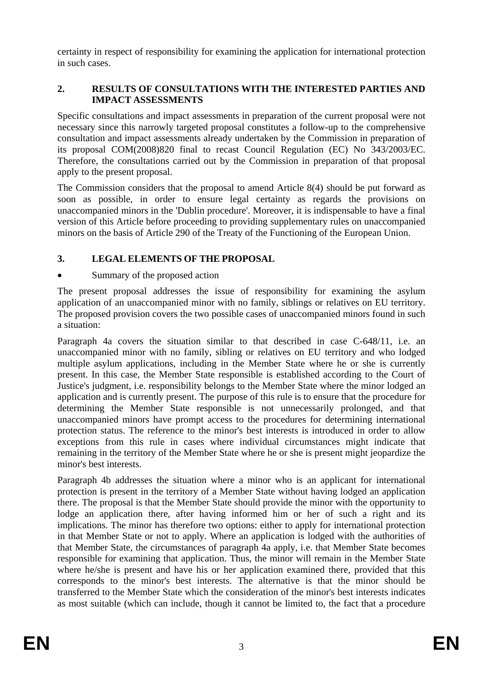certainty in respect of responsibility for examining the application for international protection in such cases.

### **2. RESULTS OF CONSULTATIONS WITH THE INTERESTED PARTIES AND IMPACT ASSESSMENTS**

Specific consultations and impact assessments in preparation of the current proposal were not necessary since this narrowly targeted proposal constitutes a follow-up to the comprehensive consultation and impact assessments already undertaken by the Commission in preparation of its proposal COM(2008)820 final to recast Council Regulation (EC) No 343/2003/EC. Therefore, the consultations carried out by the Commission in preparation of that proposal apply to the present proposal.

The Commission considers that the proposal to amend Article 8(4) should be put forward as soon as possible, in order to ensure legal certainty as regards the provisions on unaccompanied minors in the 'Dublin procedure'. Moreover, it is indispensable to have a final version of this Article before proceeding to providing supplementary rules on unaccompanied minors on the basis of Article 290 of the Treaty of the Functioning of the European Union.

# **3. LEGAL ELEMENTS OF THE PROPOSAL**

### Summary of the proposed action

The present proposal addresses the issue of responsibility for examining the asylum application of an unaccompanied minor with no family, siblings or relatives on EU territory. The proposed provision covers the two possible cases of unaccompanied minors found in such a situation:

Paragraph 4a covers the situation similar to that described in case C-648/11, i.e. an unaccompanied minor with no family, sibling or relatives on EU territory and who lodged multiple asylum applications, including in the Member State where he or she is currently present. In this case, the Member State responsible is established according to the Court of Justice's judgment, i.e. responsibility belongs to the Member State where the minor lodged an application and is currently present. The purpose of this rule is to ensure that the procedure for determining the Member State responsible is not unnecessarily prolonged, and that unaccompanied minors have prompt access to the procedures for determining international protection status. The reference to the minor's best interests is introduced in order to allow exceptions from this rule in cases where individual circumstances might indicate that remaining in the territory of the Member State where he or she is present might jeopardize the minor's best interests.

Paragraph 4b addresses the situation where a minor who is an applicant for international protection is present in the territory of a Member State without having lodged an application there. The proposal is that the Member State should provide the minor with the opportunity to lodge an application there, after having informed him or her of such a right and its implications. The minor has therefore two options: either to apply for international protection in that Member State or not to apply. Where an application is lodged with the authorities of that Member State, the circumstances of paragraph 4a apply, i.e. that Member State becomes responsible for examining that application. Thus, the minor will remain in the Member State where he/she is present and have his or her application examined there, provided that this corresponds to the minor's best interests. The alternative is that the minor should be transferred to the Member State which the consideration of the minor's best interests indicates as most suitable (which can include, though it cannot be limited to, the fact that a procedure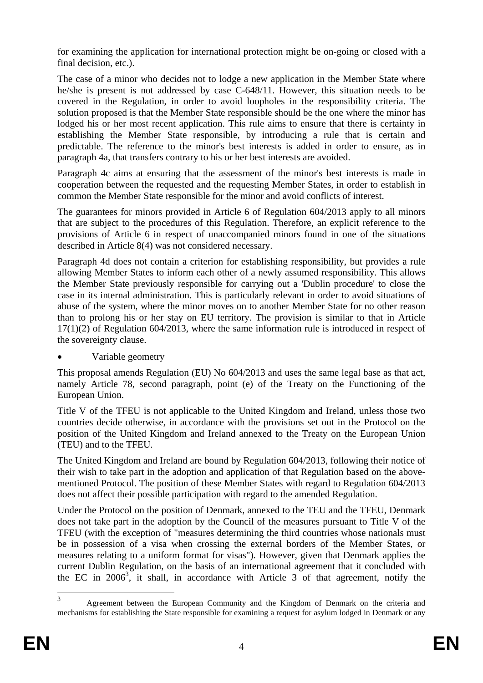for examining the application for international protection might be on-going or closed with a final decision, etc.).

The case of a minor who decides not to lodge a new application in the Member State where he/she is present is not addressed by case C-648/11. However, this situation needs to be covered in the Regulation, in order to avoid loopholes in the responsibility criteria. The solution proposed is that the Member State responsible should be the one where the minor has lodged his or her most recent application. This rule aims to ensure that there is certainty in establishing the Member State responsible, by introducing a rule that is certain and predictable. The reference to the minor's best interests is added in order to ensure, as in paragraph 4a, that transfers contrary to his or her best interests are avoided.

Paragraph 4c aims at ensuring that the assessment of the minor's best interests is made in cooperation between the requested and the requesting Member States, in order to establish in common the Member State responsible for the minor and avoid conflicts of interest.

The guarantees for minors provided in Article 6 of Regulation 604/2013 apply to all minors that are subject to the procedures of this Regulation. Therefore, an explicit reference to the provisions of Article 6 in respect of unaccompanied minors found in one of the situations described in Article 8(4) was not considered necessary.

Paragraph 4d does not contain a criterion for establishing responsibility, but provides a rule allowing Member States to inform each other of a newly assumed responsibility. This allows the Member State previously responsible for carrying out a 'Dublin procedure' to close the case in its internal administration. This is particularly relevant in order to avoid situations of abuse of the system, where the minor moves on to another Member State for no other reason than to prolong his or her stay on EU territory. The provision is similar to that in Article 17(1)(2) of Regulation 604/2013, where the same information rule is introduced in respect of the sovereignty clause.

Variable geometry

This proposal amends Regulation (EU) No 604/2013 and uses the same legal base as that act, namely Article 78, second paragraph, point (e) of the Treaty on the Functioning of the European Union.

Title V of the TFEU is not applicable to the United Kingdom and Ireland, unless those two countries decide otherwise, in accordance with the provisions set out in the Protocol on the position of the United Kingdom and Ireland annexed to the Treaty on the European Union (TEU) and to the TFEU.

The United Kingdom and Ireland are bound by Regulation 604/2013, following their notice of their wish to take part in the adoption and application of that Regulation based on the abovementioned Protocol. The position of these Member States with regard to Regulation 604/2013 does not affect their possible participation with regard to the amended Regulation.

Under the Protocol on the position of Denmark, annexed to the TEU and the TFEU, Denmark does not take part in the adoption by the Council of the measures pursuant to Title V of the TFEU (with the exception of "measures determining the third countries whose nationals must be in possession of a visa when crossing the external borders of the Member States, or measures relating to a uniform format for visas"). However, given that Denmark applies the current Dublin Regulation, on the basis of an international agreement that it concluded with the EC in 2006<sup>3</sup>, it shall, in accordance with Article 3 of that agreement, notify the

 $\overline{3}$ <sup>3</sup> Agreement between the European Community and the Kingdom of Denmark on the criteria and mechanisms for establishing the State responsible for examining a request for asylum lodged in Denmark or any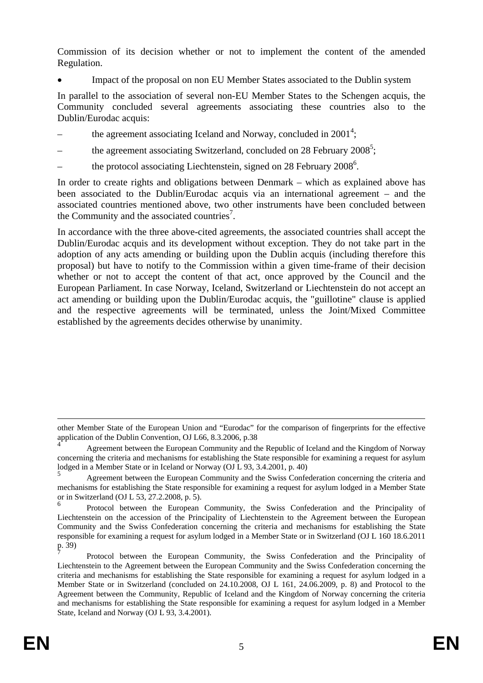Commission of its decision whether or not to implement the content of the amended Regulation.

• Impact of the proposal on non EU Member States associated to the Dublin system

In parallel to the association of several non-EU Member States to the Schengen acquis, the Community concluded several agreements associating these countries also to the Dublin/Eurodac acquis:

- the agreement associating Iceland and Norway, concluded in  $2001^4$ ;
- the agreement associating Switzerland, concluded on 28 February  $2008^5$ ;
- the protocol associating Liechtenstein, signed on 28 February 2008<sup>6</sup>.

In order to create rights and obligations between Denmark – which as explained above has been associated to the Dublin/Eurodac acquis via an international agreement – and the associated countries mentioned above, two other instruments have been concluded between the Community and the associated countries<sup>7</sup>.

In accordance with the three above-cited agreements, the associated countries shall accept the Dublin/Eurodac acquis and its development without exception. They do not take part in the adoption of any acts amending or building upon the Dublin acquis (including therefore this proposal) but have to notify to the Commission within a given time-frame of their decision whether or not to accept the content of that act, once approved by the Council and the European Parliament. In case Norway, Iceland, Switzerland or Liechtenstein do not accept an act amending or building upon the Dublin/Eurodac acquis, the "guillotine" clause is applied and the respective agreements will be terminated, unless the Joint/Mixed Committee established by the agreements decides otherwise by unanimity.

other Member State of the European Union and "Eurodac" for the comparison of fingerprints for the effective application of the Dublin Convention, OJ L66, 8.3.2006, p.38

<sup>4</sup> Agreement between the European Community and the Republic of Iceland and the Kingdom of Norway concerning the criteria and mechanisms for establishing the State responsible for examining a request for asylum lodged in a Member State or in Iceland or Norway (OJ L 93, 3.4.2001, p. 40)

<sup>5</sup> Agreement between the European Community and the Swiss Confederation concerning the criteria and mechanisms for establishing the State responsible for examining a request for asylum lodged in a Member State or in Switzerland (OJ L 53, 27.2.2008, p. 5).

<sup>6</sup> Protocol between the European Community, the Swiss Confederation and the Principality of Liechtenstein on the accession of the Principality of Liechtenstein to the Agreement between the European Community and the Swiss Confederation concerning the criteria and mechanisms for establishing the State responsible for examining a request for asylum lodged in a Member State or in Switzerland (OJ L 160 18.6.2011 p. 39)

<sup>7</sup> Protocol between the European Community, the Swiss Confederation and the Principality of Liechtenstein to the Agreement between the European Community and the Swiss Confederation concerning the criteria and mechanisms for establishing the State responsible for examining a request for asylum lodged in a Member State or in Switzerland (concluded on 24.10.2008, OJ L 161, 24.06.2009, p. 8) and Protocol to the Agreement between the Community, Republic of Iceland and the Kingdom of Norway concerning the criteria and mechanisms for establishing the State responsible for examining a request for asylum lodged in a Member State, Iceland and Norway (OJ L 93, 3.4.2001).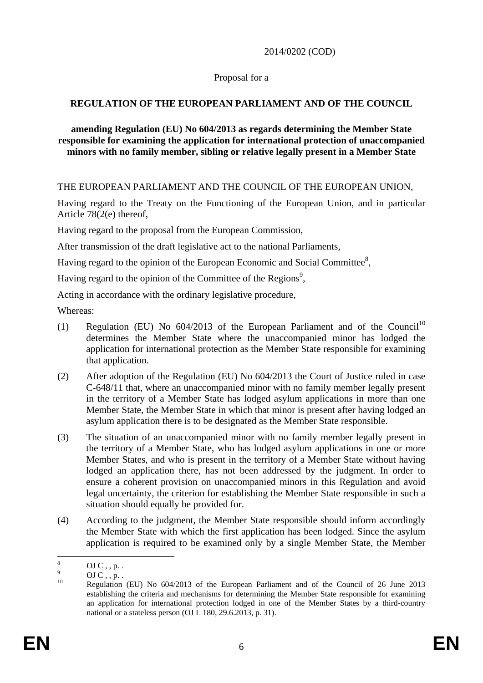2014/0202 (COD)

### Proposal for a

## **REGULATION OF THE EUROPEAN PARLIAMENT AND OF THE COUNCIL**

#### **amending Regulation (EU) No 604/2013 as regards determining the Member State responsible for examining the application for international protection of unaccompanied minors with no family member, sibling or relative legally present in a Member State**

THE EUROPEAN PARLIAMENT AND THE COUNCIL OF THE EUROPEAN UNION,

Having regard to the Treaty on the Functioning of the European Union, and in particular Article 78(2(e) thereof,

Having regard to the proposal from the European Commission,

After transmission of the draft legislative act to the national Parliaments,

Having regard to the opinion of the European Economic and Social Committee<sup>8</sup>,

Having regard to the opinion of the Committee of the Regions<sup>9</sup>,

Acting in accordance with the ordinary legislative procedure,

Whereas:

- (1) Regulation (EU) No  $604/2013$  of the European Parliament and of the Council<sup>10</sup> determines the Member State where the unaccompanied minor has lodged the application for international protection as the Member State responsible for examining that application.
- (2) After adoption of the Regulation (EU) No 604/2013 the Court of Justice ruled in case C-648/11 that, where an unaccompanied minor with no family member legally present in the territory of a Member State has lodged asylum applications in more than one Member State, the Member State in which that minor is present after having lodged an asylum application there is to be designated as the Member State responsible.
- (3) The situation of an unaccompanied minor with no family member legally present in the territory of a Member State, who has lodged asylum applications in one or more Member States, and who is present in the territory of a Member State without having lodged an application there, has not been addressed by the judgment. In order to ensure a coherent provision on unaccompanied minors in this Regulation and avoid legal uncertainty, the criterion for establishing the Member State responsible in such a situation should equally be provided for.
- (4) According to the judgment, the Member State responsible should inform accordingly the Member State with which the first application has been lodged. Since the asylum application is required to be examined only by a single Member State, the Member

 $\frac{1}{8}$ OJ  $C$ , , p. .  $\ddot{\mathbf{Q}}$ 

 $\frac{9}{10}$  OJ C, , p. .

<sup>10</sup> Regulation (EU) No 604/2013 of the European Parliament and of the Council of 26 June 2013 establishing the criteria and mechanisms for determining the Member State responsible for examining an application for international protection lodged in one of the Member States by a third-country national or a stateless person (OJ L 180, 29.6.2013, p. 31).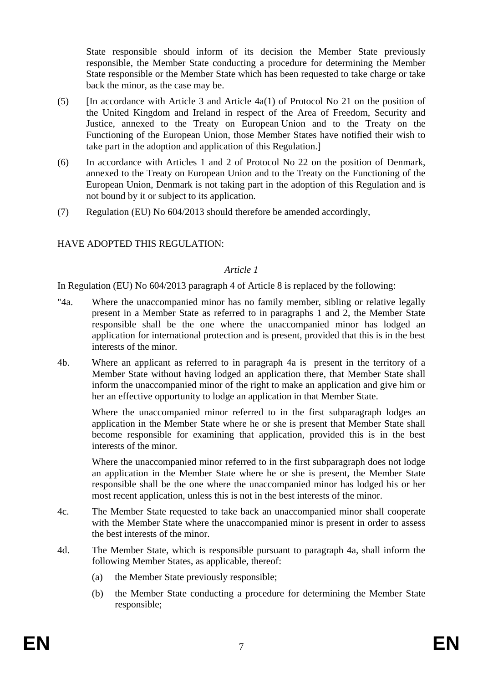State responsible should inform of its decision the Member State previously responsible, the Member State conducting a procedure for determining the Member State responsible or the Member State which has been requested to take charge or take back the minor, as the case may be.

- (5) [In accordance with Article 3 and Article  $4a(1)$  of Protocol No 21 on the position of the United Kingdom and Ireland in respect of the Area of Freedom, Security and Justice, annexed to the Treaty on European Union and to the Treaty on the Functioning of the European Union, those Member States have notified their wish to take part in the adoption and application of this Regulation.]
- (6) In accordance with Articles 1 and 2 of Protocol No 22 on the position of Denmark, annexed to the Treaty on European Union and to the Treaty on the Functioning of the European Union, Denmark is not taking part in the adoption of this Regulation and is not bound by it or subject to its application.
- (7) Regulation (EU) No 604/2013 should therefore be amended accordingly,

## HAVE ADOPTED THIS REGULATION:

#### *Article 1*

In Regulation (EU) No 604/2013 paragraph 4 of Article 8 is replaced by the following:

- "4a. Where the unaccompanied minor has no family member, sibling or relative legally present in a Member State as referred to in paragraphs 1 and 2, the Member State responsible shall be the one where the unaccompanied minor has lodged an application for international protection and is present, provided that this is in the best interests of the minor.
- 4b. Where an applicant as referred to in paragraph 4a is present in the territory of a Member State without having lodged an application there, that Member State shall inform the unaccompanied minor of the right to make an application and give him or her an effective opportunity to lodge an application in that Member State.

Where the unaccompanied minor referred to in the first subparagraph lodges an application in the Member State where he or she is present that Member State shall become responsible for examining that application, provided this is in the best interests of the minor.

Where the unaccompanied minor referred to in the first subparagraph does not lodge an application in the Member State where he or she is present, the Member State responsible shall be the one where the unaccompanied minor has lodged his or her most recent application, unless this is not in the best interests of the minor.

- 4c. The Member State requested to take back an unaccompanied minor shall cooperate with the Member State where the unaccompanied minor is present in order to assess the best interests of the minor.
- 4d. The Member State, which is responsible pursuant to paragraph 4a, shall inform the following Member States, as applicable, thereof:
	- (a) the Member State previously responsible;
	- (b) the Member State conducting a procedure for determining the Member State responsible;